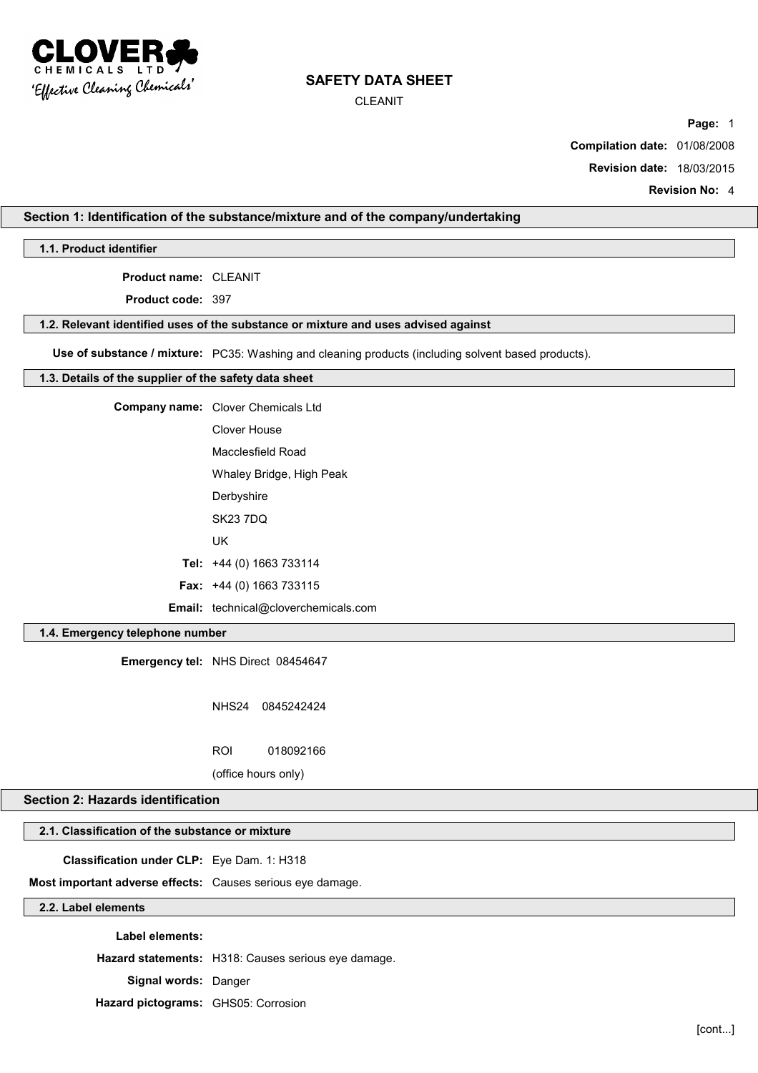

CLEANIT

**Page:** 1

**Compilation date:** 01/08/2008

**Revision date:** 18/03/2015

**Revision No:** 4

## **Section 1: Identification of the substance/mixture and of the company/undertaking**

**1.1. Product identifier**

**Product name:** CLEANIT

**Product code:** 397

#### **1.2. Relevant identified uses of the substance or mixture and uses advised against**

**Use of substance / mixture:** PC35: Washing and cleaning products (including solvent based products).

#### **1.3. Details of the supplier of the safety data sheet**

| <b>Company name:</b> Clover Chemicals Ltd   |
|---------------------------------------------|
| Clover House                                |
| Macclesfield Road                           |
| Whaley Bridge, High Peak                    |
| Derbyshire                                  |
| <b>SK23 7DQ</b>                             |
| UK                                          |
| Tel: +44 (0) 1663 733114                    |
| <b>Fax:</b> $+44$ (0) 1663 733115           |
| <b>Email:</b> technical@cloverchemicals.com |

## **1.4. Emergency telephone number**

**Emergency tel:** NHS Direct 08454647

NHS24 0845242424

ROI 018092166

(office hours only)

## **Section 2: Hazards identification**

## **2.1. Classification of the substance or mixture**

**Classification under CLP:** Eye Dam. 1: H318

**Most important adverse effects:** Causes serious eye damage.

## **2.2. Label elements**

**Label elements:**

**Hazard statements:** H318: Causes serious eye damage.

**Signal words:** Danger

**Hazard pictograms:** GHS05: Corrosion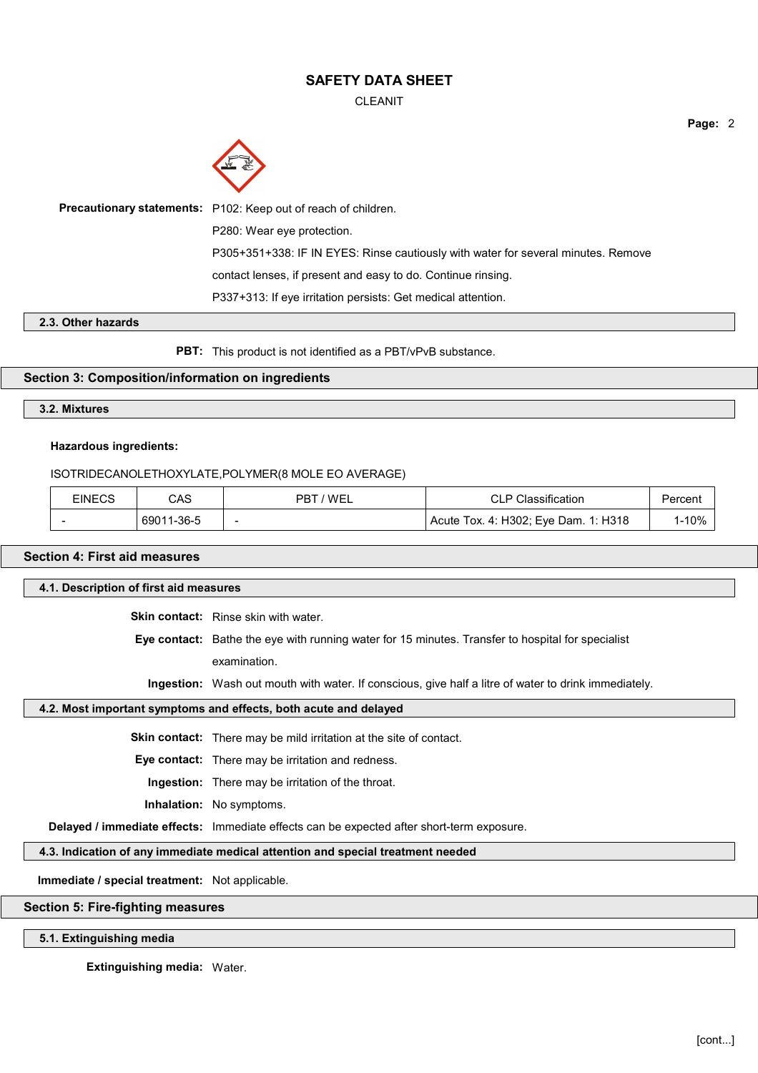CLEANIT



#### **2.3. Other hazards**

**PBT:** This product is not identified as a PBT/vPvB substance.

### **Section 3: Composition/information on ingredients**

## **3.2. Mixtures**

#### **Hazardous ingredients:**

#### ISOTRIDECANOLETHOXYLATE,POLYMER(8 MOLE EO AVERAGE)

| EINECS | CAS        | ' WEL<br>РB              | Classification                       | Percent |
|--------|------------|--------------------------|--------------------------------------|---------|
|        | 69011-36-5 | $\overline{\phantom{a}}$ | Acute Tox. 4: H302; Eye Dam. 1: H318 | 1-10%   |

## **Section 4: First aid measures**

#### **4.1. Description of first aid measures**

**Skin contact:** Rinse skin with water.

**Eye contact:** Bathe the eye with running water for 15 minutes. Transfer to hospital for specialist examination.

**Ingestion:** Wash out mouth with water. If conscious, give half a litre of water to drink immediately.

## **4.2. Most important symptoms and effects, both acute and delayed**

**Skin contact:** There may be mild irritation at the site of contact.

**Eye contact:** There may be irritation and redness.

**Ingestion:** There may be irritation of the throat.

#### **Inhalation:** No symptoms.

**Delayed / immediate effects:** Immediate effects can be expected after short-term exposure.

### **4.3. Indication of any immediate medical attention and special treatment needed**

**Immediate / special treatment:** Not applicable.

#### **Section 5: Fire-fighting measures**

#### **5.1. Extinguishing media**

**Extinguishing media:** Water.

**Page:** 2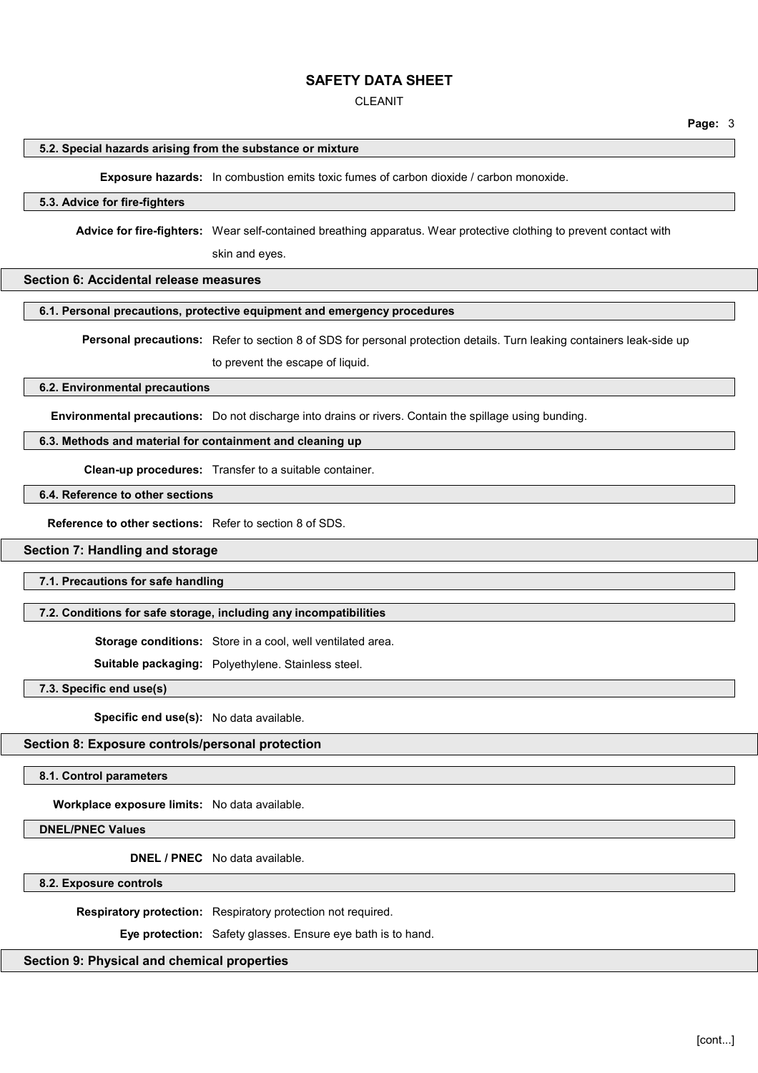#### CLEANIT

**Page:** 3

#### **5.2. Special hazards arising from the substance or mixture**

**Exposure hazards:** In combustion emits toxic fumes of carbon dioxide / carbon monoxide.

## **5.3. Advice for fire-fighters**

**Advice for fire-fighters:** Wear self-contained breathing apparatus. Wear protective clothing to prevent contact with

skin and eyes.

### **Section 6: Accidental release measures**

#### **6.1. Personal precautions, protective equipment and emergency procedures**

**Personal precautions:** Refer to section 8 of SDS for personal protection details. Turn leaking containers leak-side up

to prevent the escape of liquid.

## **6.2. Environmental precautions**

**Environmental precautions:** Do not discharge into drains or rivers. Contain the spillage using bunding.

## **6.3. Methods and material for containment and cleaning up**

**Clean-up procedures:** Transfer to a suitable container.

## **6.4. Reference to other sections**

**Reference to other sections:** Refer to section 8 of SDS.

## **Section 7: Handling and storage**

**7.1. Precautions for safe handling**

#### **7.2. Conditions for safe storage, including any incompatibilities**

**Storage conditions:** Store in a cool, well ventilated area.

**Suitable packaging:** Polyethylene. Stainless steel.

**7.3. Specific end use(s)**

**Specific end use(s):** No data available.

## **Section 8: Exposure controls/personal protection**

**8.1. Control parameters**

**Workplace exposure limits:** No data available.

**DNEL/PNEC Values**

**DNEL / PNEC** No data available.

**8.2. Exposure controls**

**Respiratory protection:** Respiratory protection not required.

**Eye protection:** Safety glasses. Ensure eye bath is to hand.

**Section 9: Physical and chemical properties**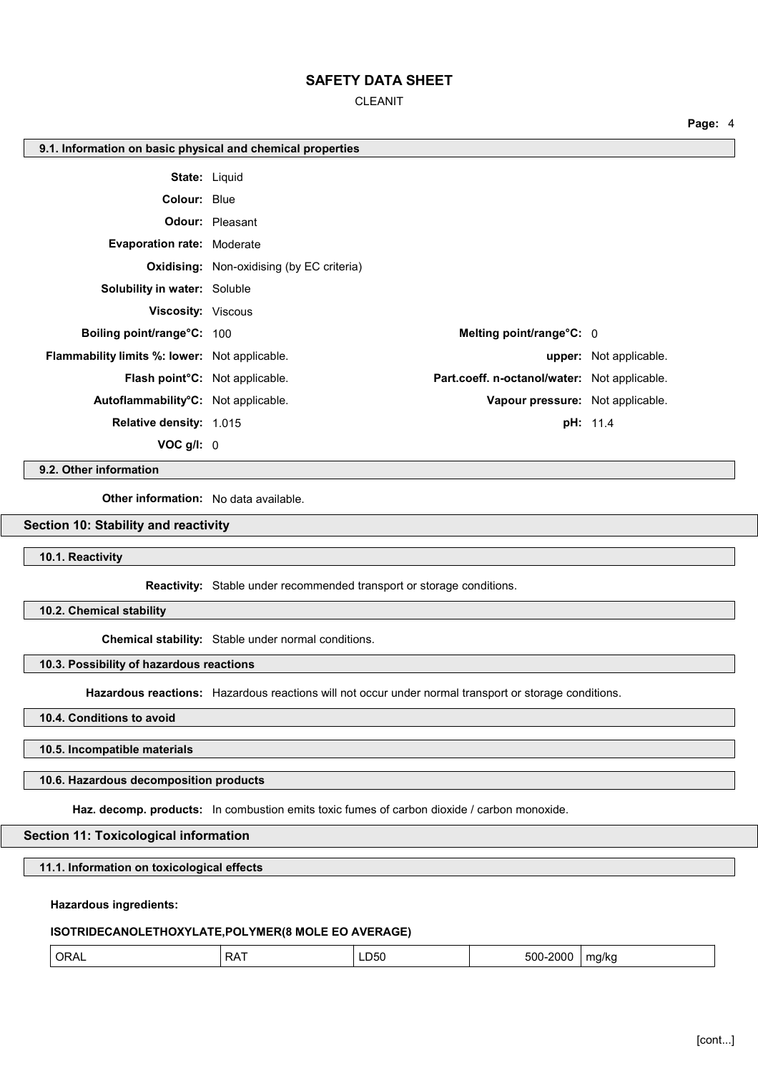CLEANIT

| 9.1. Information on basic physical and chemical properties |                                                  |                                              |                               |
|------------------------------------------------------------|--------------------------------------------------|----------------------------------------------|-------------------------------|
|                                                            | <b>State: Liquid</b>                             |                                              |                               |
| <b>Colour: Blue</b>                                        |                                                  |                                              |                               |
|                                                            | <b>Odour:</b> Pleasant                           |                                              |                               |
| <b>Evaporation rate: Moderate</b>                          |                                                  |                                              |                               |
|                                                            | <b>Oxidising:</b> Non-oxidising (by EC criteria) |                                              |                               |
| <b>Solubility in water: Soluble</b>                        |                                                  |                                              |                               |
| <b>Viscosity: Viscous</b>                                  |                                                  |                                              |                               |
| Boiling point/range°C: 100                                 |                                                  | Melting point/range°C: 0                     |                               |
| Flammability limits %: lower: Not applicable.              |                                                  |                                              | <b>upper:</b> Not applicable. |
| Flash point°C: Not applicable.                             |                                                  | Part.coeff. n-octanol/water: Not applicable. |                               |
| Autoflammability°C: Not applicable.                        |                                                  | Vapour pressure: Not applicable.             |                               |
| Relative density: 1.015                                    |                                                  |                                              | <b>pH:</b> 11.4               |
| VOC g/l: 0                                                 |                                                  |                                              |                               |

**9.2. Other information**

**Other information:** No data available.

## **Section 10: Stability and reactivity**

**10.1. Reactivity**

**Reactivity:** Stable under recommended transport or storage conditions.

**10.2. Chemical stability**

**Chemical stability:** Stable under normal conditions.

**10.3. Possibility of hazardous reactions**

**Hazardous reactions:** Hazardous reactions will not occur under normal transport or storage conditions.

**10.4. Conditions to avoid**

**10.5. Incompatible materials**

**10.6. Hazardous decomposition products**

**Haz. decomp. products:** In combustion emits toxic fumes of carbon dioxide / carbon monoxide.

**Section 11: Toxicological information**

**11.1. Information on toxicological effects**

**Hazardous ingredients:**

**ISOTRIDECANOLETHOXYLATE,POLYMER(8 MOLE EO AVERAGE)**

| <b>RAT</b><br>∟D50<br>500<br>ୀ <b>ORA</b> ∟<br>2000<br>ma/kc |
|--------------------------------------------------------------|
|--------------------------------------------------------------|

**Page:** 4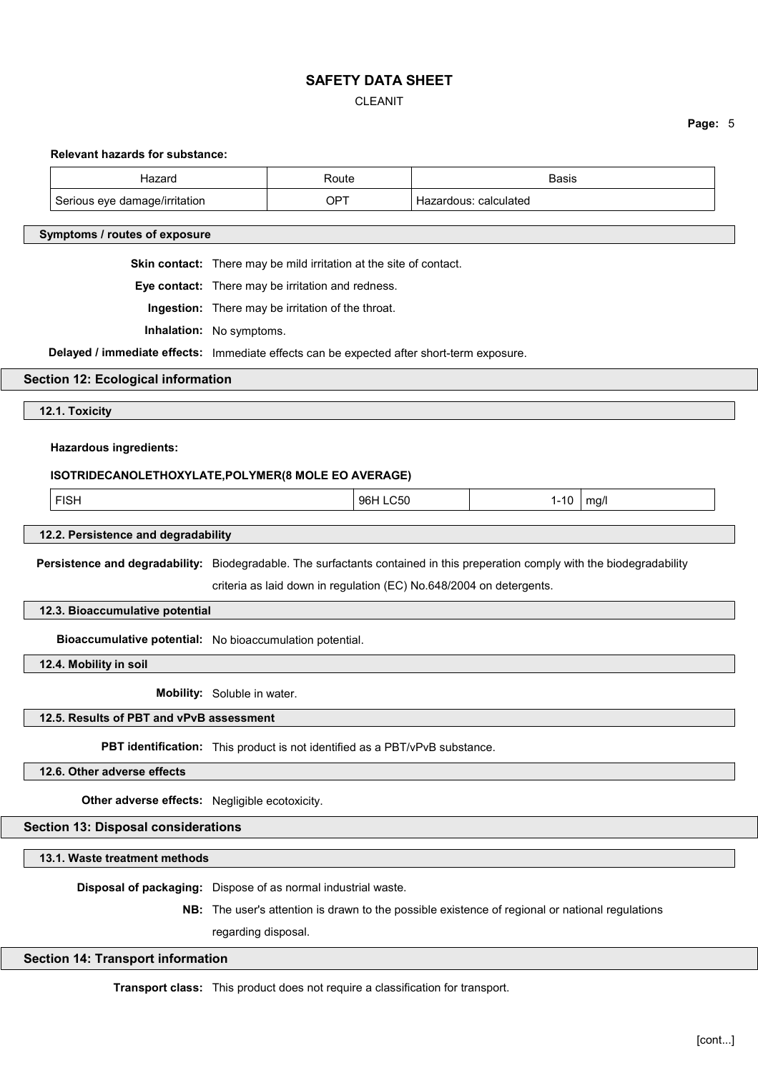# CLEANIT

**Page:** 5

| <b>Relevant hazards for substance:</b>                                                                                       |                                                   |                                                                                                 |  |                       |      |
|------------------------------------------------------------------------------------------------------------------------------|---------------------------------------------------|-------------------------------------------------------------------------------------------------|--|-----------------------|------|
| Hazard                                                                                                                       |                                                   | Route                                                                                           |  | <b>Basis</b>          |      |
| Serious eye damage/irritation                                                                                                |                                                   | <b>OPT</b>                                                                                      |  | Hazardous: calculated |      |
| Symptoms / routes of exposure                                                                                                |                                                   |                                                                                                 |  |                       |      |
|                                                                                                                              |                                                   | Skin contact: There may be mild irritation at the site of contact.                              |  |                       |      |
|                                                                                                                              | Eye contact: There may be irritation and redness. |                                                                                                 |  |                       |      |
|                                                                                                                              | Ingestion: There may be irritation of the throat. |                                                                                                 |  |                       |      |
| Inhalation: No symptoms.                                                                                                     |                                                   |                                                                                                 |  |                       |      |
| Delayed / immediate effects: Immediate effects can be expected after short-term exposure.                                    |                                                   |                                                                                                 |  |                       |      |
| <b>Section 12: Ecological information</b>                                                                                    |                                                   |                                                                                                 |  |                       |      |
| 12.1. Toxicity                                                                                                               |                                                   |                                                                                                 |  |                       |      |
| <b>Hazardous ingredients:</b>                                                                                                |                                                   |                                                                                                 |  |                       |      |
| ISOTRIDECANOLETHOXYLATE, POLYMER(8 MOLE EO AVERAGE)                                                                          |                                                   |                                                                                                 |  |                       |      |
| <b>FISH</b>                                                                                                                  |                                                   | 96H LC50                                                                                        |  | $1 - 10$              | mg/l |
|                                                                                                                              |                                                   |                                                                                                 |  |                       |      |
| 12.2. Persistence and degradability                                                                                          |                                                   |                                                                                                 |  |                       |      |
| Persistence and degradability: Biodegradable. The surfactants contained in this preperation comply with the biodegradability |                                                   |                                                                                                 |  |                       |      |
|                                                                                                                              |                                                   | criteria as laid down in regulation (EC) No.648/2004 on detergents.                             |  |                       |      |
| 12.3. Bioaccumulative potential                                                                                              |                                                   |                                                                                                 |  |                       |      |
| Bioaccumulative potential: No bioaccumulation potential.                                                                     |                                                   |                                                                                                 |  |                       |      |
| 12.4. Mobility in soil                                                                                                       |                                                   |                                                                                                 |  |                       |      |
|                                                                                                                              | Mobility: Soluble in water.                       |                                                                                                 |  |                       |      |
| 12.5. Results of PBT and vPvB assessment                                                                                     |                                                   |                                                                                                 |  |                       |      |
|                                                                                                                              |                                                   | PBT identification: This product is not identified as a PBT/vPvB substance.                     |  |                       |      |
| 12.6. Other adverse effects                                                                                                  |                                                   |                                                                                                 |  |                       |      |
| Other adverse effects: Negligible ecotoxicity.                                                                               |                                                   |                                                                                                 |  |                       |      |
| <b>Section 13: Disposal considerations</b>                                                                                   |                                                   |                                                                                                 |  |                       |      |
| 13.1. Waste treatment methods                                                                                                |                                                   |                                                                                                 |  |                       |      |
|                                                                                                                              |                                                   | Disposal of packaging: Dispose of as normal industrial waste.                                   |  |                       |      |
|                                                                                                                              |                                                   | NB: The user's attention is drawn to the possible existence of regional or national regulations |  |                       |      |
|                                                                                                                              | regarding disposal.                               |                                                                                                 |  |                       |      |
| <b>Section 14: Transport information</b>                                                                                     |                                                   |                                                                                                 |  |                       |      |
|                                                                                                                              |                                                   |                                                                                                 |  |                       |      |

**Transport class:** This product does not require a classification for transport.